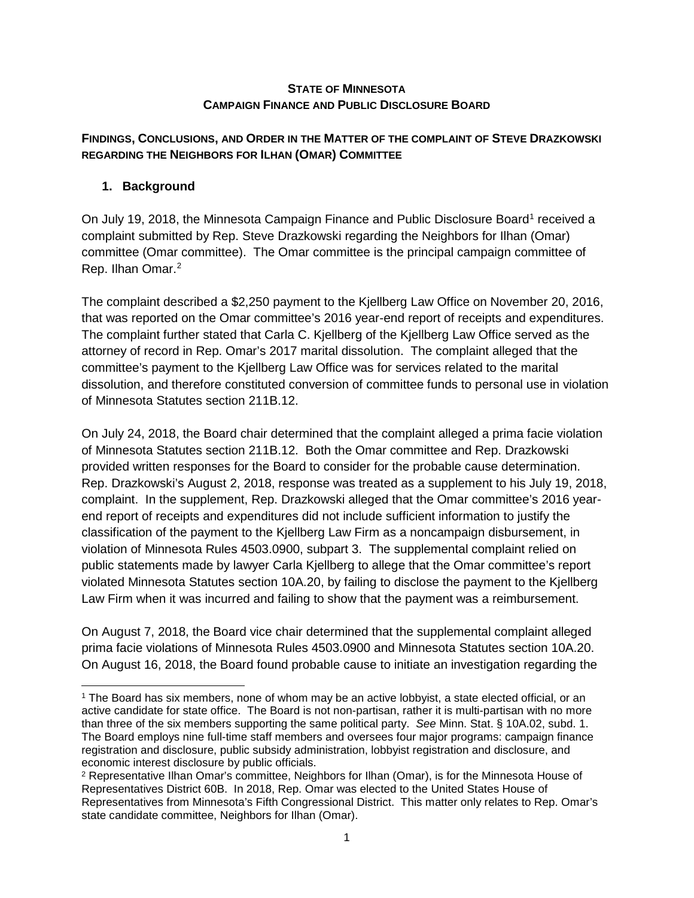### **STATE OF MINNESOTA CAMPAIGN FINANCE AND PUBLIC DISCLOSURE BOARD**

## **FINDINGS, CONCLUSIONS, AND ORDER IN THE MATTER OF THE COMPLAINT OF STEVE DRAZKOWSKI REGARDING THE NEIGHBORS FOR ILHAN (OMAR) COMMITTEE**

# **1. Background**

On July [1](#page-0-0)9, 2018, the Minnesota Campaign Finance and Public Disclosure Board<sup>1</sup> received a complaint submitted by Rep. Steve Drazkowski regarding the Neighbors for Ilhan (Omar) committee (Omar committee). The Omar committee is the principal campaign committee of Rep. Ilhan Omar.<sup>[2](#page-0-1)</sup>

The complaint described a \$2,250 payment to the Kjellberg Law Office on November 20, 2016, that was reported on the Omar committee's 2016 year-end report of receipts and expenditures. The complaint further stated that Carla C. Kjellberg of the Kjellberg Law Office served as the attorney of record in Rep. Omar's 2017 marital dissolution. The complaint alleged that the committee's payment to the Kjellberg Law Office was for services related to the marital dissolution, and therefore constituted conversion of committee funds to personal use in violation of Minnesota Statutes section 211B.12.

On July 24, 2018, the Board chair determined that the complaint alleged a prima facie violation of Minnesota Statutes section 211B.12. Both the Omar committee and Rep. Drazkowski provided written responses for the Board to consider for the probable cause determination. Rep. Drazkowski's August 2, 2018, response was treated as a supplement to his July 19, 2018, complaint. In the supplement, Rep. Drazkowski alleged that the Omar committee's 2016 yearend report of receipts and expenditures did not include sufficient information to justify the classification of the payment to the Kjellberg Law Firm as a noncampaign disbursement, in violation of Minnesota Rules 4503.0900, subpart 3. The supplemental complaint relied on public statements made by lawyer Carla Kjellberg to allege that the Omar committee's report violated Minnesota Statutes section 10A.20, by failing to disclose the payment to the Kjellberg Law Firm when it was incurred and failing to show that the payment was a reimbursement.

On August 7, 2018, the Board vice chair determined that the supplemental complaint alleged prima facie violations of Minnesota Rules 4503.0900 and Minnesota Statutes section 10A.20. On August 16, 2018, the Board found probable cause to initiate an investigation regarding the

<span id="page-0-0"></span> <sup>1</sup> The Board has six members, none of whom may be an active lobbyist, a state elected official, or an active candidate for state office. The Board is not non-partisan, rather it is multi-partisan with no more than three of the six members supporting the same political party. *See* Minn. Stat. § 10A.02, subd. 1. The Board employs nine full-time staff members and oversees four major programs: campaign finance registration and disclosure, public subsidy administration, lobbyist registration and disclosure, and economic interest disclosure by public officials.

<span id="page-0-1"></span><sup>2</sup> Representative Ilhan Omar's committee, Neighbors for Ilhan (Omar), is for the Minnesota House of Representatives District 60B. In 2018, Rep. Omar was elected to the United States House of Representatives from Minnesota's Fifth Congressional District. This matter only relates to Rep. Omar's state candidate committee, Neighbors for Ilhan (Omar).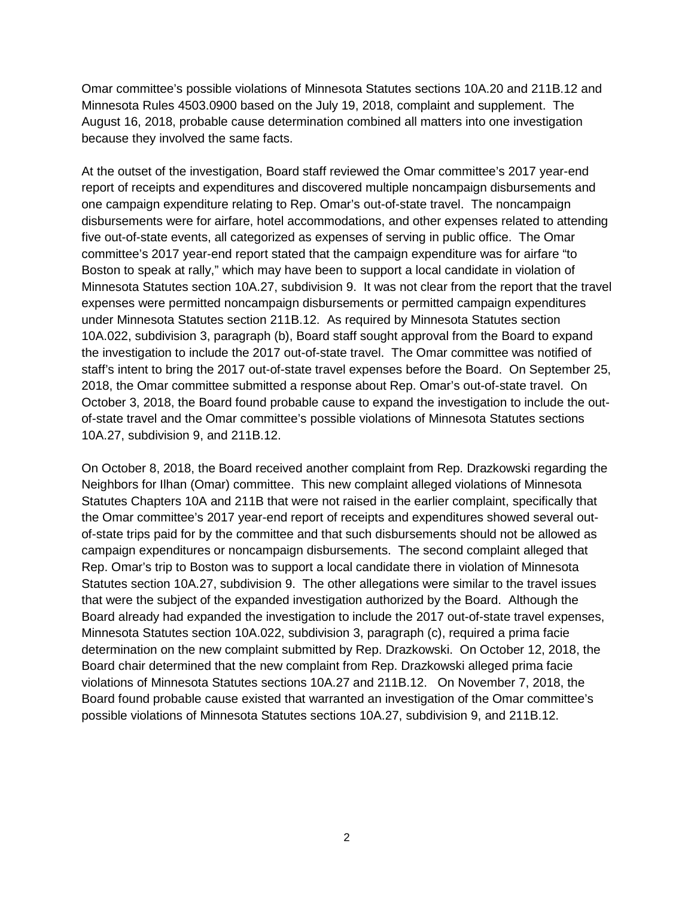Omar committee's possible violations of Minnesota Statutes sections 10A.20 and 211B.12 and Minnesota Rules 4503.0900 based on the July 19, 2018, complaint and supplement. The August 16, 2018, probable cause determination combined all matters into one investigation because they involved the same facts.

At the outset of the investigation, Board staff reviewed the Omar committee's 2017 year-end report of receipts and expenditures and discovered multiple noncampaign disbursements and one campaign expenditure relating to Rep. Omar's out-of-state travel. The noncampaign disbursements were for airfare, hotel accommodations, and other expenses related to attending five out-of-state events, all categorized as expenses of serving in public office. The Omar committee's 2017 year-end report stated that the campaign expenditure was for airfare "to Boston to speak at rally," which may have been to support a local candidate in violation of Minnesota Statutes section 10A.27, subdivision 9. It was not clear from the report that the travel expenses were permitted noncampaign disbursements or permitted campaign expenditures under Minnesota Statutes section 211B.12. As required by Minnesota Statutes section 10A.022, subdivision 3, paragraph (b), Board staff sought approval from the Board to expand the investigation to include the 2017 out-of-state travel. The Omar committee was notified of staff's intent to bring the 2017 out-of-state travel expenses before the Board. On September 25, 2018, the Omar committee submitted a response about Rep. Omar's out-of-state travel. On October 3, 2018, the Board found probable cause to expand the investigation to include the outof-state travel and the Omar committee's possible violations of Minnesota Statutes sections 10A.27, subdivision 9, and 211B.12.

On October 8, 2018, the Board received another complaint from Rep. Drazkowski regarding the Neighbors for Ilhan (Omar) committee. This new complaint alleged violations of Minnesota Statutes Chapters 10A and 211B that were not raised in the earlier complaint, specifically that the Omar committee's 2017 year-end report of receipts and expenditures showed several outof-state trips paid for by the committee and that such disbursements should not be allowed as campaign expenditures or noncampaign disbursements. The second complaint alleged that Rep. Omar's trip to Boston was to support a local candidate there in violation of Minnesota Statutes section 10A.27, subdivision 9. The other allegations were similar to the travel issues that were the subject of the expanded investigation authorized by the Board. Although the Board already had expanded the investigation to include the 2017 out-of-state travel expenses, Minnesota Statutes section 10A.022, subdivision 3, paragraph (c), required a prima facie determination on the new complaint submitted by Rep. Drazkowski. On October 12, 2018, the Board chair determined that the new complaint from Rep. Drazkowski alleged prima facie violations of Minnesota Statutes sections 10A.27 and 211B.12. On November 7, 2018, the Board found probable cause existed that warranted an investigation of the Omar committee's possible violations of Minnesota Statutes sections 10A.27, subdivision 9, and 211B.12.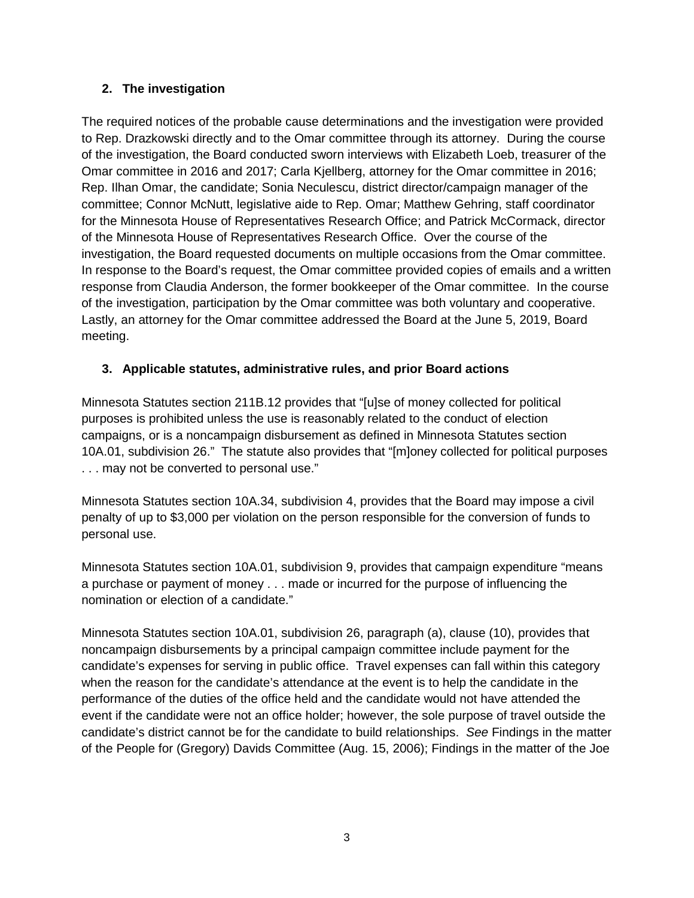# **2. The investigation**

The required notices of the probable cause determinations and the investigation were provided to Rep. Drazkowski directly and to the Omar committee through its attorney. During the course of the investigation, the Board conducted sworn interviews with Elizabeth Loeb, treasurer of the Omar committee in 2016 and 2017; Carla Kjellberg, attorney for the Omar committee in 2016; Rep. Ilhan Omar, the candidate; Sonia Neculescu, district director/campaign manager of the committee; Connor McNutt, legislative aide to Rep. Omar; Matthew Gehring, staff coordinator for the Minnesota House of Representatives Research Office; and Patrick McCormack, director of the Minnesota House of Representatives Research Office. Over the course of the investigation, the Board requested documents on multiple occasions from the Omar committee. In response to the Board's request, the Omar committee provided copies of emails and a written response from Claudia Anderson, the former bookkeeper of the Omar committee. In the course of the investigation, participation by the Omar committee was both voluntary and cooperative. Lastly, an attorney for the Omar committee addressed the Board at the June 5, 2019, Board meeting.

# **3. Applicable statutes, administrative rules, and prior Board actions**

Minnesota Statutes section 211B.12 provides that "[u]se of money collected for political purposes is prohibited unless the use is reasonably related to the conduct of election campaigns, or is a noncampaign disbursement as defined in Minnesota Statutes section 10A.01, subdivision 26." The statute also provides that "[m]oney collected for political purposes . . . may not be converted to personal use."

Minnesota Statutes section 10A.34, subdivision 4, provides that the Board may impose a civil penalty of up to \$3,000 per violation on the person responsible for the conversion of funds to personal use.

Minnesota Statutes section 10A.01, subdivision 9, provides that campaign expenditure "means a purchase or payment of money . . . made or incurred for the purpose of influencing the nomination or election of a candidate."

Minnesota Statutes section 10A.01, subdivision 26, paragraph (a), clause (10), provides that noncampaign disbursements by a principal campaign committee include payment for the candidate's expenses for serving in public office. Travel expenses can fall within this category when the reason for the candidate's attendance at the event is to help the candidate in the performance of the duties of the office held and the candidate would not have attended the event if the candidate were not an office holder; however, the sole purpose of travel outside the candidate's district cannot be for the candidate to build relationships. *See* Findings in the matter of the People for (Gregory) Davids Committee (Aug. 15, 2006); Findings in the matter of the Joe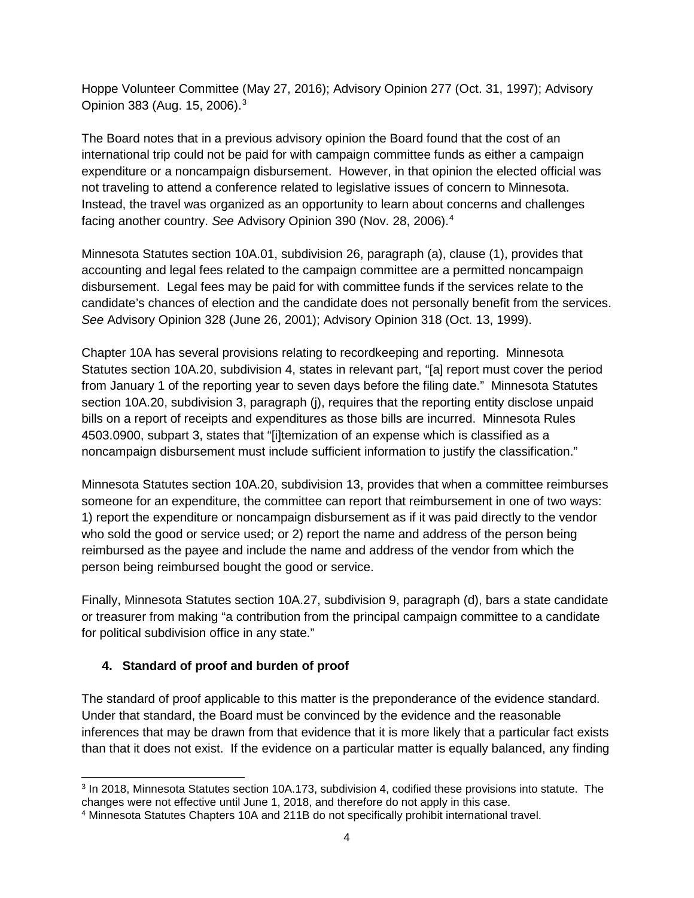Hoppe Volunteer Committee (May 27, 2016); Advisory Opinion 277 (Oct. 31, 1997); Advisory Opinion 383 (Aug. 15, 2006).[3](#page-3-0)

The Board notes that in a previous advisory opinion the Board found that the cost of an international trip could not be paid for with campaign committee funds as either a campaign expenditure or a noncampaign disbursement. However, in that opinion the elected official was not traveling to attend a conference related to legislative issues of concern to Minnesota. Instead, the travel was organized as an opportunity to learn about concerns and challenges facing another country. *See* Advisory Opinion 390 (Nov. 28, 2006).[4](#page-3-1)

Minnesota Statutes section 10A.01, subdivision 26, paragraph (a), clause (1), provides that accounting and legal fees related to the campaign committee are a permitted noncampaign disbursement. Legal fees may be paid for with committee funds if the services relate to the candidate's chances of election and the candidate does not personally benefit from the services. *See* Advisory Opinion 328 (June 26, 2001); Advisory Opinion 318 (Oct. 13, 1999).

Chapter 10A has several provisions relating to recordkeeping and reporting. Minnesota Statutes section 10A.20, subdivision 4, states in relevant part, "[a] report must cover the period from January 1 of the reporting year to seven days before the filing date." Minnesota Statutes section 10A.20, subdivision 3, paragraph (j), requires that the reporting entity disclose unpaid bills on a report of receipts and expenditures as those bills are incurred. Minnesota Rules 4503.0900, subpart 3, states that "[i]temization of an expense which is classified as a noncampaign disbursement must include sufficient information to justify the classification."

Minnesota Statutes section 10A.20, subdivision 13, provides that when a committee reimburses someone for an expenditure, the committee can report that reimbursement in one of two ways: 1) report the expenditure or noncampaign disbursement as if it was paid directly to the vendor who sold the good or service used; or 2) report the name and address of the person being reimbursed as the payee and include the name and address of the vendor from which the person being reimbursed bought the good or service.

Finally, Minnesota Statutes section 10A.27, subdivision 9, paragraph (d), bars a state candidate or treasurer from making "a contribution from the principal campaign committee to a candidate for political subdivision office in any state."

# **4. Standard of proof and burden of proof**

The standard of proof applicable to this matter is the preponderance of the evidence standard. Under that standard, the Board must be convinced by the evidence and the reasonable inferences that may be drawn from that evidence that it is more likely that a particular fact exists than that it does not exist. If the evidence on a particular matter is equally balanced, any finding

<span id="page-3-0"></span> <sup>3</sup> In 2018, Minnesota Statutes section 10A.173, subdivision 4, codified these provisions into statute. The changes were not effective until June 1, 2018, and therefore do not apply in this case.

<span id="page-3-1"></span><sup>4</sup> Minnesota Statutes Chapters 10A and 211B do not specifically prohibit international travel.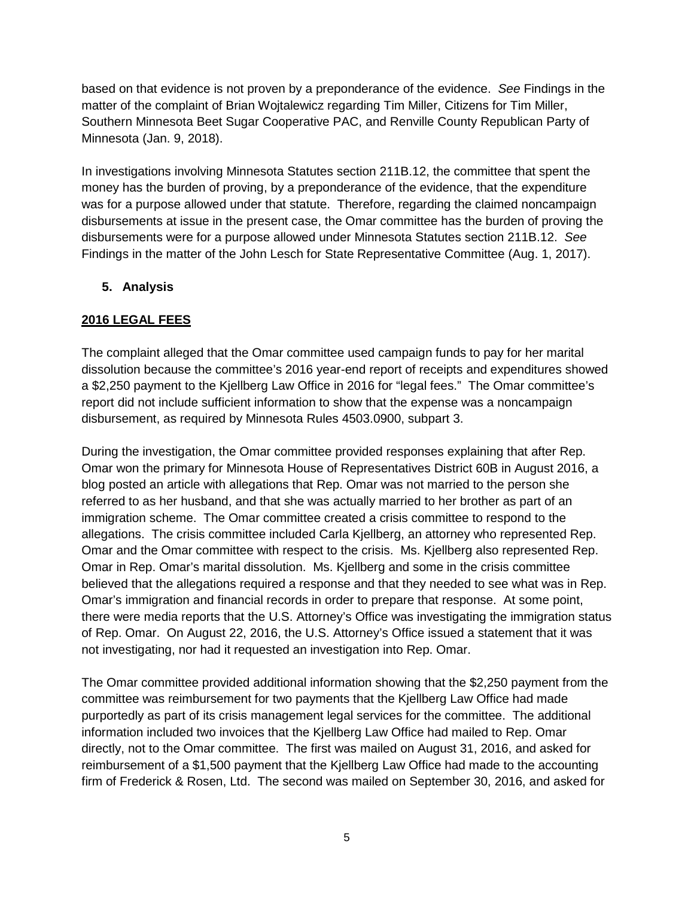based on that evidence is not proven by a preponderance of the evidence. *See* Findings in the matter of the complaint of Brian Wojtalewicz regarding Tim Miller, Citizens for Tim Miller, Southern Minnesota Beet Sugar Cooperative PAC, and Renville County Republican Party of Minnesota (Jan. 9, 2018).

In investigations involving Minnesota Statutes section 211B.12, the committee that spent the money has the burden of proving, by a preponderance of the evidence, that the expenditure was for a purpose allowed under that statute. Therefore, regarding the claimed noncampaign disbursements at issue in the present case, the Omar committee has the burden of proving the disbursements were for a purpose allowed under Minnesota Statutes section 211B.12. *See* Findings in the matter of the John Lesch for State Representative Committee (Aug. 1, 2017).

# **5. Analysis**

# **2016 LEGAL FEES**

The complaint alleged that the Omar committee used campaign funds to pay for her marital dissolution because the committee's 2016 year-end report of receipts and expenditures showed a \$2,250 payment to the Kjellberg Law Office in 2016 for "legal fees." The Omar committee's report did not include sufficient information to show that the expense was a noncampaign disbursement, as required by Minnesota Rules 4503.0900, subpart 3.

During the investigation, the Omar committee provided responses explaining that after Rep. Omar won the primary for Minnesota House of Representatives District 60B in August 2016, a blog posted an article with allegations that Rep. Omar was not married to the person she referred to as her husband, and that she was actually married to her brother as part of an immigration scheme. The Omar committee created a crisis committee to respond to the allegations. The crisis committee included Carla Kjellberg, an attorney who represented Rep. Omar and the Omar committee with respect to the crisis. Ms. Kjellberg also represented Rep. Omar in Rep. Omar's marital dissolution. Ms. Kjellberg and some in the crisis committee believed that the allegations required a response and that they needed to see what was in Rep. Omar's immigration and financial records in order to prepare that response. At some point, there were media reports that the U.S. Attorney's Office was investigating the immigration status of Rep. Omar. On August 22, 2016, the U.S. Attorney's Office issued a statement that it was not investigating, nor had it requested an investigation into Rep. Omar.

The Omar committee provided additional information showing that the \$2,250 payment from the committee was reimbursement for two payments that the Kjellberg Law Office had made purportedly as part of its crisis management legal services for the committee. The additional information included two invoices that the Kjellberg Law Office had mailed to Rep. Omar directly, not to the Omar committee. The first was mailed on August 31, 2016, and asked for reimbursement of a \$1,500 payment that the Kjellberg Law Office had made to the accounting firm of Frederick & Rosen, Ltd. The second was mailed on September 30, 2016, and asked for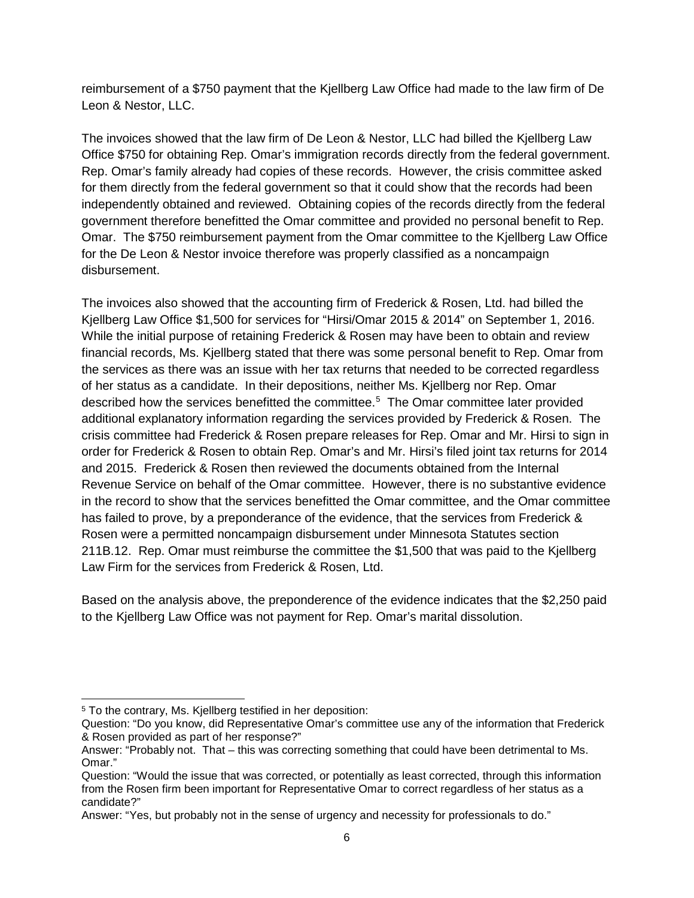reimbursement of a \$750 payment that the Kjellberg Law Office had made to the law firm of De Leon & Nestor, LLC.

The invoices showed that the law firm of De Leon & Nestor, LLC had billed the Kjellberg Law Office \$750 for obtaining Rep. Omar's immigration records directly from the federal government. Rep. Omar's family already had copies of these records. However, the crisis committee asked for them directly from the federal government so that it could show that the records had been independently obtained and reviewed. Obtaining copies of the records directly from the federal government therefore benefitted the Omar committee and provided no personal benefit to Rep. Omar. The \$750 reimbursement payment from the Omar committee to the Kjellberg Law Office for the De Leon & Nestor invoice therefore was properly classified as a noncampaign disbursement.

The invoices also showed that the accounting firm of Frederick & Rosen, Ltd. had billed the Kjellberg Law Office \$1,500 for services for "Hirsi/Omar 2015 & 2014" on September 1, 2016. While the initial purpose of retaining Frederick & Rosen may have been to obtain and review financial records, Ms. Kjellberg stated that there was some personal benefit to Rep. Omar from the services as there was an issue with her tax returns that needed to be corrected regardless of her status as a candidate. In their depositions, neither Ms. Kjellberg nor Rep. Omar described how the services benefitted the committee.<sup>[5](#page-5-0)</sup> The Omar committee later provided additional explanatory information regarding the services provided by Frederick & Rosen. The crisis committee had Frederick & Rosen prepare releases for Rep. Omar and Mr. Hirsi to sign in order for Frederick & Rosen to obtain Rep. Omar's and Mr. Hirsi's filed joint tax returns for 2014 and 2015. Frederick & Rosen then reviewed the documents obtained from the Internal Revenue Service on behalf of the Omar committee. However, there is no substantive evidence in the record to show that the services benefitted the Omar committee, and the Omar committee has failed to prove, by a preponderance of the evidence, that the services from Frederick & Rosen were a permitted noncampaign disbursement under Minnesota Statutes section 211B.12. Rep. Omar must reimburse the committee the \$1,500 that was paid to the Kjellberg Law Firm for the services from Frederick & Rosen, Ltd.

Based on the analysis above, the preponderence of the evidence indicates that the \$2,250 paid to the Kjellberg Law Office was not payment for Rep. Omar's marital dissolution.

<span id="page-5-0"></span><sup>&</sup>lt;sup>5</sup> To the contrary, Ms. Kjellberg testified in her deposition:

Question: "Do you know, did Representative Omar's committee use any of the information that Frederick & Rosen provided as part of her response?"

Answer: "Probably not. That – this was correcting something that could have been detrimental to Ms. Omar."

Question: "Would the issue that was corrected, or potentially as least corrected, through this information from the Rosen firm been important for Representative Omar to correct regardless of her status as a candidate?"

Answer: "Yes, but probably not in the sense of urgency and necessity for professionals to do."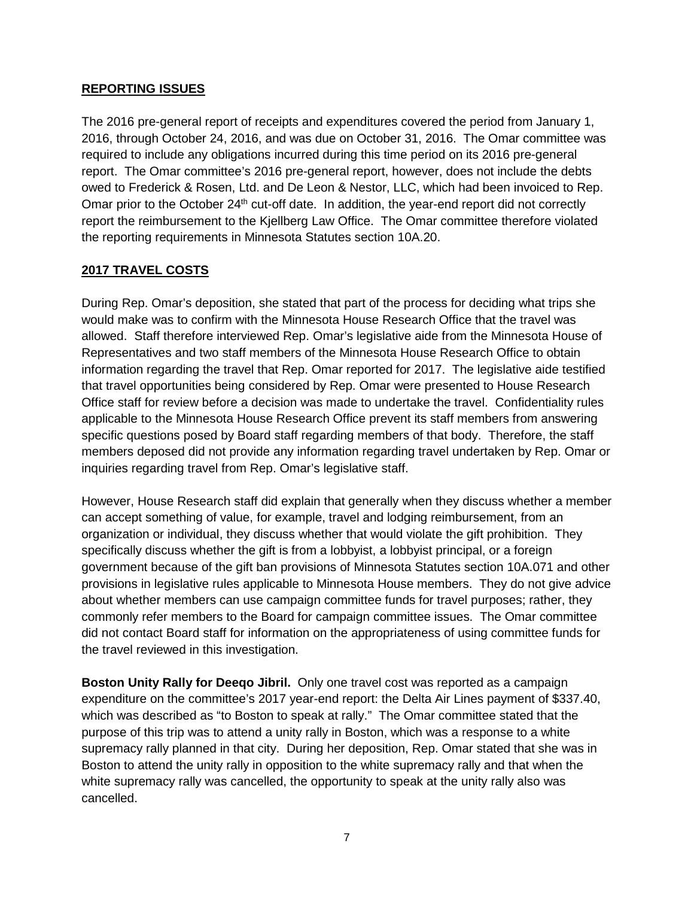## **REPORTING ISSUES**

The 2016 pre-general report of receipts and expenditures covered the period from January 1, 2016, through October 24, 2016, and was due on October 31, 2016. The Omar committee was required to include any obligations incurred during this time period on its 2016 pre-general report. The Omar committee's 2016 pre-general report, however, does not include the debts owed to Frederick & Rosen, Ltd. and De Leon & Nestor, LLC, which had been invoiced to Rep. Omar prior to the October  $24<sup>th</sup>$  cut-off date. In addition, the year-end report did not correctly report the reimbursement to the Kjellberg Law Office. The Omar committee therefore violated the reporting requirements in Minnesota Statutes section 10A.20.

# **2017 TRAVEL COSTS**

During Rep. Omar's deposition, she stated that part of the process for deciding what trips she would make was to confirm with the Minnesota House Research Office that the travel was allowed. Staff therefore interviewed Rep. Omar's legislative aide from the Minnesota House of Representatives and two staff members of the Minnesota House Research Office to obtain information regarding the travel that Rep. Omar reported for 2017. The legislative aide testified that travel opportunities being considered by Rep. Omar were presented to House Research Office staff for review before a decision was made to undertake the travel. Confidentiality rules applicable to the Minnesota House Research Office prevent its staff members from answering specific questions posed by Board staff regarding members of that body. Therefore, the staff members deposed did not provide any information regarding travel undertaken by Rep. Omar or inquiries regarding travel from Rep. Omar's legislative staff.

However, House Research staff did explain that generally when they discuss whether a member can accept something of value, for example, travel and lodging reimbursement, from an organization or individual, they discuss whether that would violate the gift prohibition. They specifically discuss whether the gift is from a lobbyist, a lobbyist principal, or a foreign government because of the gift ban provisions of Minnesota Statutes section 10A.071 and other provisions in legislative rules applicable to Minnesota House members. They do not give advice about whether members can use campaign committee funds for travel purposes; rather, they commonly refer members to the Board for campaign committee issues. The Omar committee did not contact Board staff for information on the appropriateness of using committee funds for the travel reviewed in this investigation.

**Boston Unity Rally for Deeqo Jibril.** Only one travel cost was reported as a campaign expenditure on the committee's 2017 year-end report: the Delta Air Lines payment of \$337.40, which was described as "to Boston to speak at rally." The Omar committee stated that the purpose of this trip was to attend a unity rally in Boston, which was a response to a white supremacy rally planned in that city. During her deposition, Rep. Omar stated that she was in Boston to attend the unity rally in opposition to the white supremacy rally and that when the white supremacy rally was cancelled, the opportunity to speak at the unity rally also was cancelled.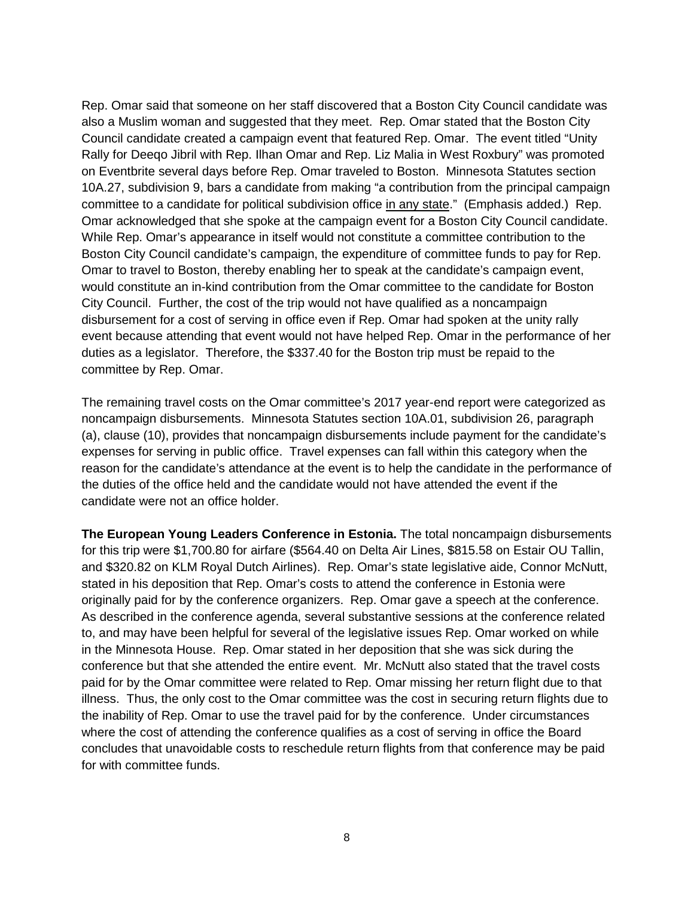Rep. Omar said that someone on her staff discovered that a Boston City Council candidate was also a Muslim woman and suggested that they meet. Rep. Omar stated that the Boston City Council candidate created a campaign event that featured Rep. Omar. The event titled "Unity Rally for Deeqo Jibril with Rep. Ilhan Omar and Rep. Liz Malia in West Roxbury" was promoted on Eventbrite several days before Rep. Omar traveled to Boston. Minnesota Statutes section 10A.27, subdivision 9, bars a candidate from making "a contribution from the principal campaign committee to a candidate for political subdivision office in any state." (Emphasis added.) Rep. Omar acknowledged that she spoke at the campaign event for a Boston City Council candidate. While Rep. Omar's appearance in itself would not constitute a committee contribution to the Boston City Council candidate's campaign, the expenditure of committee funds to pay for Rep. Omar to travel to Boston, thereby enabling her to speak at the candidate's campaign event, would constitute an in-kind contribution from the Omar committee to the candidate for Boston City Council. Further, the cost of the trip would not have qualified as a noncampaign disbursement for a cost of serving in office even if Rep. Omar had spoken at the unity rally event because attending that event would not have helped Rep. Omar in the performance of her duties as a legislator. Therefore, the \$337.40 for the Boston trip must be repaid to the committee by Rep. Omar.

The remaining travel costs on the Omar committee's 2017 year-end report were categorized as noncampaign disbursements. Minnesota Statutes section 10A.01, subdivision 26, paragraph (a), clause (10), provides that noncampaign disbursements include payment for the candidate's expenses for serving in public office. Travel expenses can fall within this category when the reason for the candidate's attendance at the event is to help the candidate in the performance of the duties of the office held and the candidate would not have attended the event if the candidate were not an office holder.

**The European Young Leaders Conference in Estonia.** The total noncampaign disbursements for this trip were \$1,700.80 for airfare (\$564.40 on Delta Air Lines, \$815.58 on Estair OU Tallin, and \$320.82 on KLM Royal Dutch Airlines). Rep. Omar's state legislative aide, Connor McNutt, stated in his deposition that Rep. Omar's costs to attend the conference in Estonia were originally paid for by the conference organizers. Rep. Omar gave a speech at the conference. As described in the conference agenda, several substantive sessions at the conference related to, and may have been helpful for several of the legislative issues Rep. Omar worked on while in the Minnesota House. Rep. Omar stated in her deposition that she was sick during the conference but that she attended the entire event. Mr. McNutt also stated that the travel costs paid for by the Omar committee were related to Rep. Omar missing her return flight due to that illness. Thus, the only cost to the Omar committee was the cost in securing return flights due to the inability of Rep. Omar to use the travel paid for by the conference. Under circumstances where the cost of attending the conference qualifies as a cost of serving in office the Board concludes that unavoidable costs to reschedule return flights from that conference may be paid for with committee funds.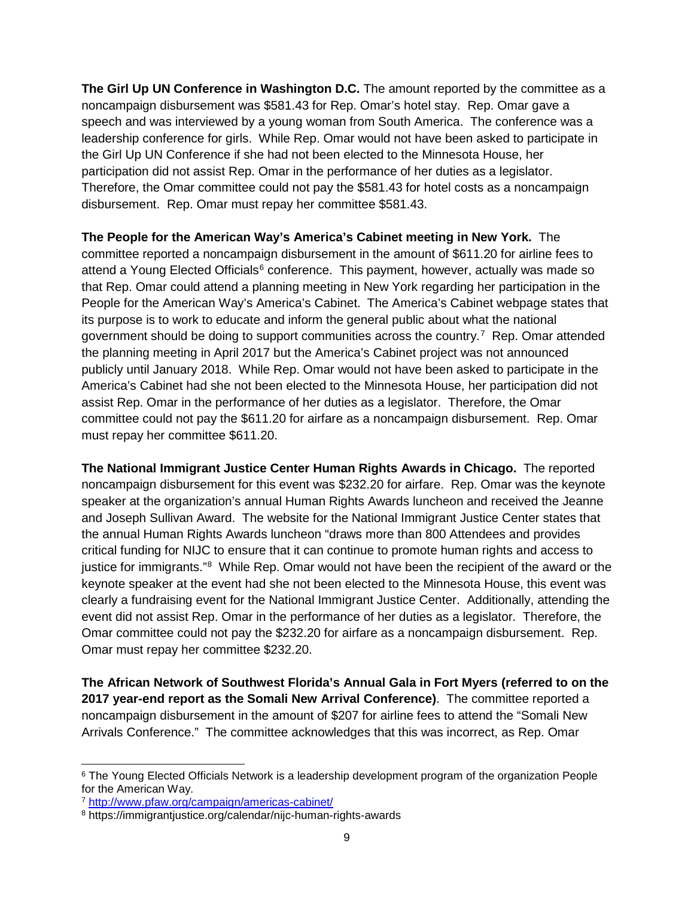**The Girl Up UN Conference in Washington D.C.** The amount reported by the committee as a noncampaign disbursement was \$581.43 for Rep. Omar's hotel stay. Rep. Omar gave a speech and was interviewed by a young woman from South America. The conference was a leadership conference for girls. While Rep. Omar would not have been asked to participate in the Girl Up UN Conference if she had not been elected to the Minnesota House, her participation did not assist Rep. Omar in the performance of her duties as a legislator. Therefore, the Omar committee could not pay the \$581.43 for hotel costs as a noncampaign disbursement. Rep. Omar must repay her committee \$581.43.

**The People for the American Way's America's Cabinet meeting in New York.** The committee reported a noncampaign disbursement in the amount of \$611.20 for airline fees to attend a Young Elected Officials<sup>[6](#page-8-0)</sup> conference. This payment, however, actually was made so that Rep. Omar could attend a planning meeting in New York regarding her participation in the People for the American Way's America's Cabinet. The America's Cabinet webpage states that its purpose is to work to educate and inform the general public about what the national government should be doing to support communities across the country.<sup>[7](#page-8-1)</sup> Rep. Omar attended the planning meeting in April 2017 but the America's Cabinet project was not announced publicly until January 2018. While Rep. Omar would not have been asked to participate in the America's Cabinet had she not been elected to the Minnesota House, her participation did not assist Rep. Omar in the performance of her duties as a legislator. Therefore, the Omar committee could not pay the \$611.20 for airfare as a noncampaign disbursement. Rep. Omar must repay her committee \$611.20.

**The National Immigrant Justice Center Human Rights Awards in Chicago.** The reported noncampaign disbursement for this event was \$232.20 for airfare. Rep. Omar was the keynote speaker at the organization's annual Human Rights Awards luncheon and received the Jeanne and Joseph Sullivan Award. The website for the National Immigrant Justice Center states that the annual Human Rights Awards luncheon "draws more than 800 Attendees and provides critical funding for NIJC to ensure that it can continue to promote human rights and access to justice for immigrants."<sup>[8](#page-8-2)</sup> While Rep. Omar would not have been the recipient of the award or the keynote speaker at the event had she not been elected to the Minnesota House, this event was clearly a fundraising event for the National Immigrant Justice Center. Additionally, attending the event did not assist Rep. Omar in the performance of her duties as a legislator. Therefore, the Omar committee could not pay the \$232.20 for airfare as a noncampaign disbursement. Rep. Omar must repay her committee \$232.20.

**The African Network of Southwest Florida's Annual Gala in Fort Myers (referred to on the 2017 year-end report as the Somali New Arrival Conference)**. The committee reported a noncampaign disbursement in the amount of \$207 for airline fees to attend the "Somali New Arrivals Conference." The committee acknowledges that this was incorrect, as Rep. Omar

<span id="page-8-0"></span><sup>&</sup>lt;sup>6</sup> The Young Elected Officials Network is a leadership development program of the organization People for the American Way.

<span id="page-8-1"></span><sup>7</sup> <http://www.pfaw.org/campaign/americas-cabinet/>

<span id="page-8-2"></span><sup>8</sup> https://immigrantjustice.org/calendar/nijc-human-rights-awards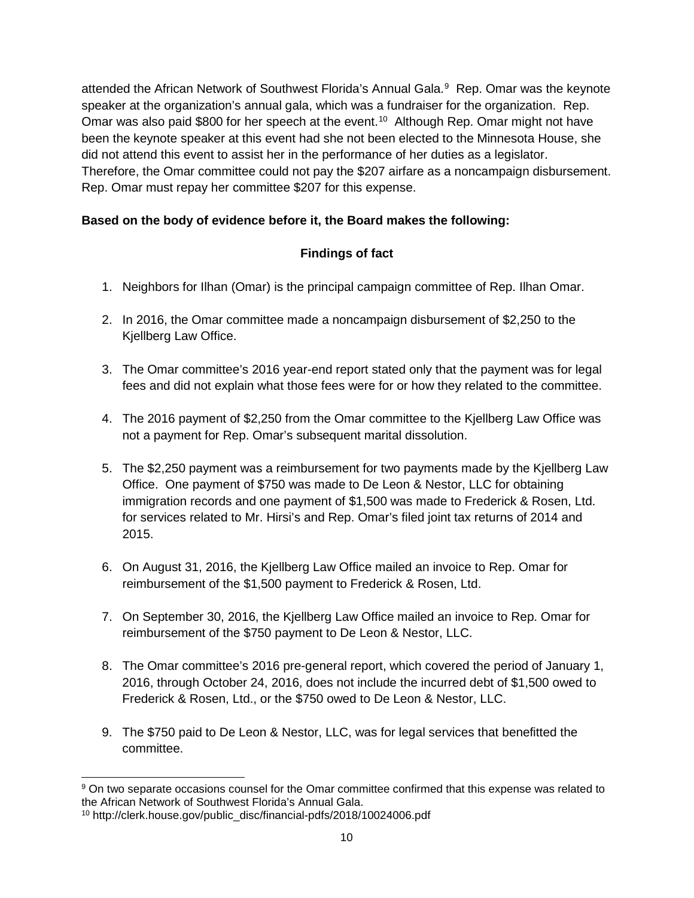attended the African Network of Southwest Florida's Annual Gala.<sup>[9](#page-9-0)</sup> Rep. Omar was the keynote speaker at the organization's annual gala, which was a fundraiser for the organization. Rep. Omar was also paid \$800 for her speech at the event.<sup>[10](#page-9-1)</sup> Although Rep. Omar might not have been the keynote speaker at this event had she not been elected to the Minnesota House, she did not attend this event to assist her in the performance of her duties as a legislator. Therefore, the Omar committee could not pay the \$207 airfare as a noncampaign disbursement. Rep. Omar must repay her committee \$207 for this expense.

# **Based on the body of evidence before it, the Board makes the following:**

# **Findings of fact**

- 1. Neighbors for Ilhan (Omar) is the principal campaign committee of Rep. Ilhan Omar.
- 2. In 2016, the Omar committee made a noncampaign disbursement of \$2,250 to the Kjellberg Law Office.
- 3. The Omar committee's 2016 year-end report stated only that the payment was for legal fees and did not explain what those fees were for or how they related to the committee.
- 4. The 2016 payment of \$2,250 from the Omar committee to the Kjellberg Law Office was not a payment for Rep. Omar's subsequent marital dissolution.
- 5. The \$2,250 payment was a reimbursement for two payments made by the Kjellberg Law Office. One payment of \$750 was made to De Leon & Nestor, LLC for obtaining immigration records and one payment of \$1,500 was made to Frederick & Rosen, Ltd. for services related to Mr. Hirsi's and Rep. Omar's filed joint tax returns of 2014 and 2015.
- 6. On August 31, 2016, the Kjellberg Law Office mailed an invoice to Rep. Omar for reimbursement of the \$1,500 payment to Frederick & Rosen, Ltd.
- 7. On September 30, 2016, the Kjellberg Law Office mailed an invoice to Rep. Omar for reimbursement of the \$750 payment to De Leon & Nestor, LLC.
- 8. The Omar committee's 2016 pre-general report, which covered the period of January 1, 2016, through October 24, 2016, does not include the incurred debt of \$1,500 owed to Frederick & Rosen, Ltd., or the \$750 owed to De Leon & Nestor, LLC.
- 9. The \$750 paid to De Leon & Nestor, LLC, was for legal services that benefitted the committee.

<span id="page-9-0"></span><sup>&</sup>lt;sup>9</sup> On two separate occasions counsel for the Omar committee confirmed that this expense was related to the African Network of Southwest Florida's Annual Gala.

<span id="page-9-1"></span><sup>10</sup> http://clerk.house.gov/public\_disc/financial-pdfs/2018/10024006.pdf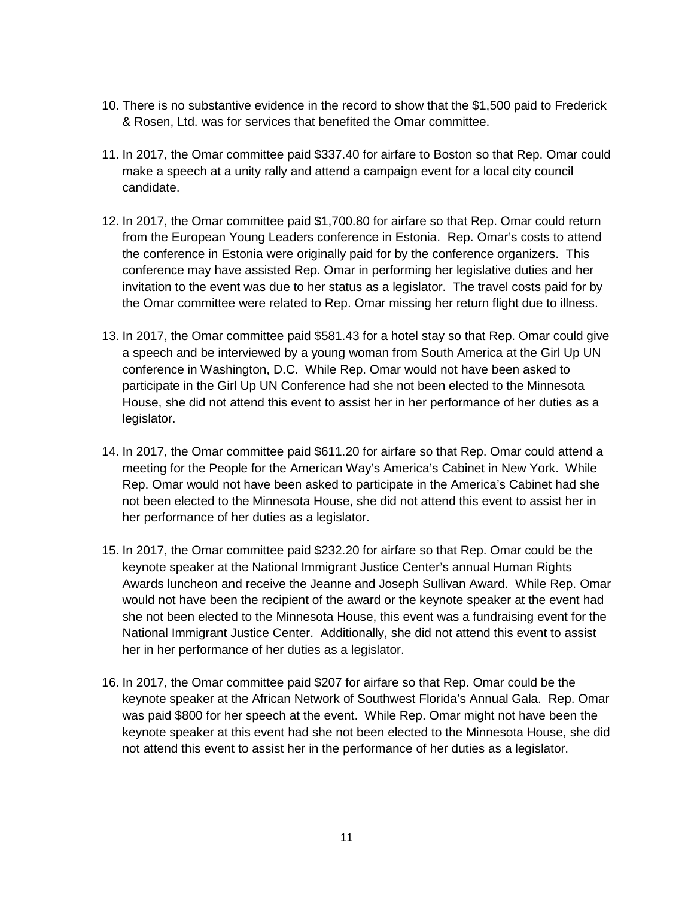- 10. There is no substantive evidence in the record to show that the \$1,500 paid to Frederick & Rosen, Ltd. was for services that benefited the Omar committee.
- 11. In 2017, the Omar committee paid \$337.40 for airfare to Boston so that Rep. Omar could make a speech at a unity rally and attend a campaign event for a local city council candidate.
- 12. In 2017, the Omar committee paid \$1,700.80 for airfare so that Rep. Omar could return from the European Young Leaders conference in Estonia. Rep. Omar's costs to attend the conference in Estonia were originally paid for by the conference organizers. This conference may have assisted Rep. Omar in performing her legislative duties and her invitation to the event was due to her status as a legislator. The travel costs paid for by the Omar committee were related to Rep. Omar missing her return flight due to illness.
- 13. In 2017, the Omar committee paid \$581.43 for a hotel stay so that Rep. Omar could give a speech and be interviewed by a young woman from South America at the Girl Up UN conference in Washington, D.C. While Rep. Omar would not have been asked to participate in the Girl Up UN Conference had she not been elected to the Minnesota House, she did not attend this event to assist her in her performance of her duties as a legislator.
- 14. In 2017, the Omar committee paid \$611.20 for airfare so that Rep. Omar could attend a meeting for the People for the American Way's America's Cabinet in New York. While Rep. Omar would not have been asked to participate in the America's Cabinet had she not been elected to the Minnesota House, she did not attend this event to assist her in her performance of her duties as a legislator.
- 15. In 2017, the Omar committee paid \$232.20 for airfare so that Rep. Omar could be the keynote speaker at the National Immigrant Justice Center's annual Human Rights Awards luncheon and receive the Jeanne and Joseph Sullivan Award. While Rep. Omar would not have been the recipient of the award or the keynote speaker at the event had she not been elected to the Minnesota House, this event was a fundraising event for the National Immigrant Justice Center. Additionally, she did not attend this event to assist her in her performance of her duties as a legislator.
- 16. In 2017, the Omar committee paid \$207 for airfare so that Rep. Omar could be the keynote speaker at the African Network of Southwest Florida's Annual Gala. Rep. Omar was paid \$800 for her speech at the event. While Rep. Omar might not have been the keynote speaker at this event had she not been elected to the Minnesota House, she did not attend this event to assist her in the performance of her duties as a legislator.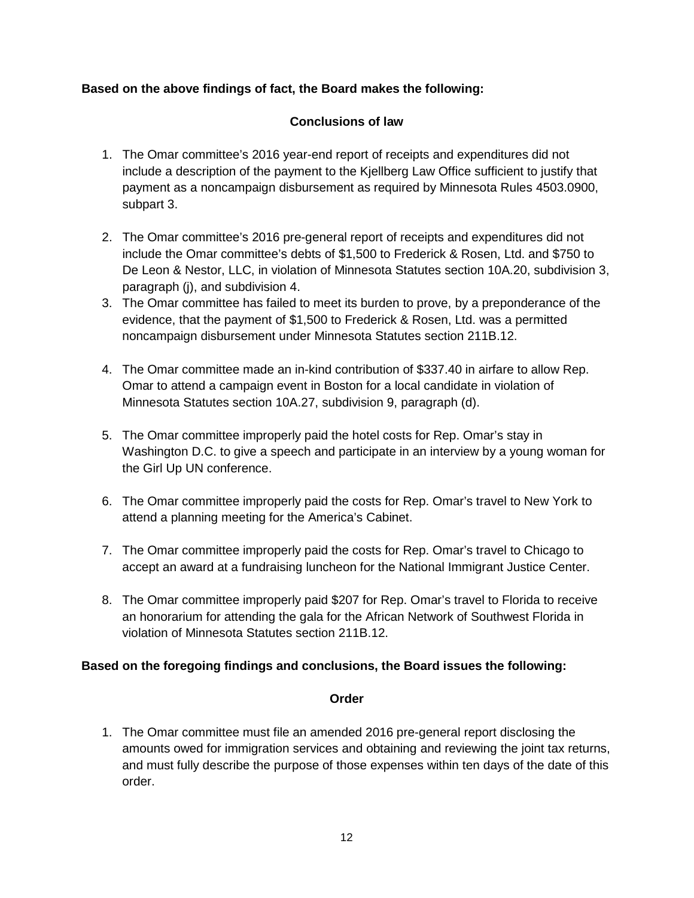# **Based on the above findings of fact, the Board makes the following:**

# **Conclusions of law**

- 1. The Omar committee's 2016 year-end report of receipts and expenditures did not include a description of the payment to the Kjellberg Law Office sufficient to justify that payment as a noncampaign disbursement as required by Minnesota Rules 4503.0900, subpart 3.
- 2. The Omar committee's 2016 pre-general report of receipts and expenditures did not include the Omar committee's debts of \$1,500 to Frederick & Rosen, Ltd. and \$750 to De Leon & Nestor, LLC, in violation of Minnesota Statutes section 10A.20, subdivision 3, paragraph (j), and subdivision 4.
- 3. The Omar committee has failed to meet its burden to prove, by a preponderance of the evidence, that the payment of \$1,500 to Frederick & Rosen, Ltd. was a permitted noncampaign disbursement under Minnesota Statutes section 211B.12.
- 4. The Omar committee made an in-kind contribution of \$337.40 in airfare to allow Rep. Omar to attend a campaign event in Boston for a local candidate in violation of Minnesota Statutes section 10A.27, subdivision 9, paragraph (d).
- 5. The Omar committee improperly paid the hotel costs for Rep. Omar's stay in Washington D.C. to give a speech and participate in an interview by a young woman for the Girl Up UN conference.
- 6. The Omar committee improperly paid the costs for Rep. Omar's travel to New York to attend a planning meeting for the America's Cabinet.
- 7. The Omar committee improperly paid the costs for Rep. Omar's travel to Chicago to accept an award at a fundraising luncheon for the National Immigrant Justice Center.
- 8. The Omar committee improperly paid \$207 for Rep. Omar's travel to Florida to receive an honorarium for attending the gala for the African Network of Southwest Florida in violation of Minnesota Statutes section 211B.12.

# **Based on the foregoing findings and conclusions, the Board issues the following:**

#### **Order**

1. The Omar committee must file an amended 2016 pre-general report disclosing the amounts owed for immigration services and obtaining and reviewing the joint tax returns, and must fully describe the purpose of those expenses within ten days of the date of this order.